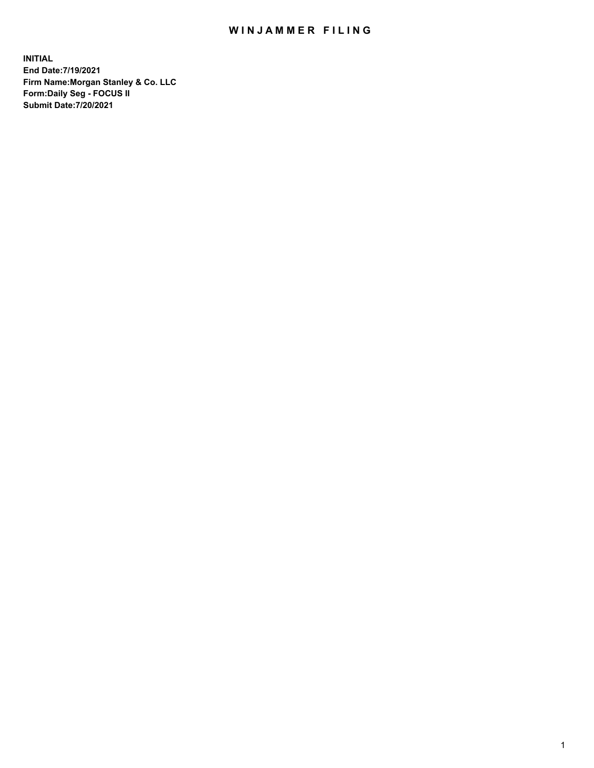## WIN JAMMER FILING

**INITIAL End Date:7/19/2021 Firm Name:Morgan Stanley & Co. LLC Form:Daily Seg - FOCUS II Submit Date:7/20/2021**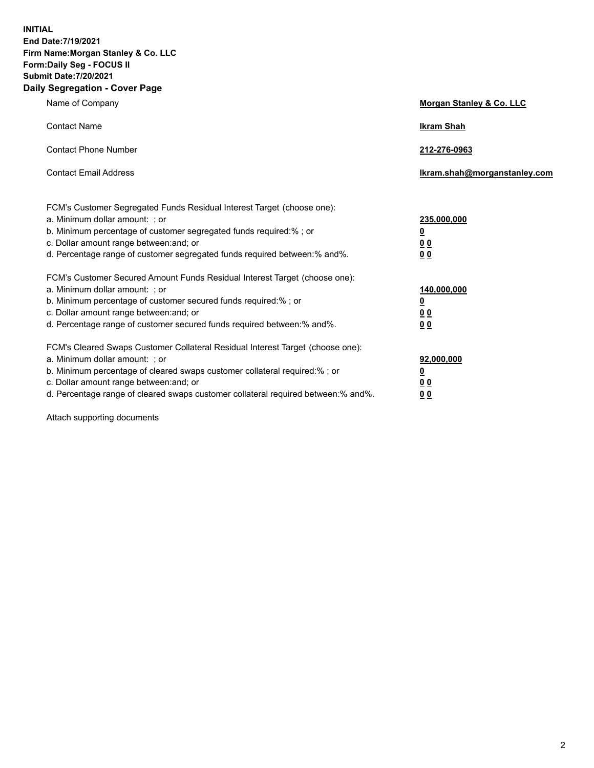**INITIAL End Date:7/19/2021 Firm Name:Morgan Stanley & Co. LLC Form:Daily Seg - FOCUS II Submit Date:7/20/2021 Daily Segregation - Cover Page**

| Name of Company                                                                                                                                                                                                                                                                                                                | Morgan Stanley & Co. LLC                               |
|--------------------------------------------------------------------------------------------------------------------------------------------------------------------------------------------------------------------------------------------------------------------------------------------------------------------------------|--------------------------------------------------------|
| <b>Contact Name</b>                                                                                                                                                                                                                                                                                                            | <b>Ikram Shah</b>                                      |
| <b>Contact Phone Number</b>                                                                                                                                                                                                                                                                                                    | 212-276-0963                                           |
| <b>Contact Email Address</b>                                                                                                                                                                                                                                                                                                   | Ikram.shah@morganstanley.com                           |
| FCM's Customer Segregated Funds Residual Interest Target (choose one):<br>a. Minimum dollar amount: ; or<br>b. Minimum percentage of customer segregated funds required:% ; or<br>c. Dollar amount range between: and; or<br>d. Percentage range of customer segregated funds required between:% and%.                         | 235,000,000<br><u>0</u><br>0 <sup>0</sup><br><u>00</u> |
| FCM's Customer Secured Amount Funds Residual Interest Target (choose one):<br>a. Minimum dollar amount: ; or<br>b. Minimum percentage of customer secured funds required:% ; or<br>c. Dollar amount range between: and; or<br>d. Percentage range of customer secured funds required between:% and%.                           | 140,000,000<br><u>0</u><br><u>00</u><br>00             |
| FCM's Cleared Swaps Customer Collateral Residual Interest Target (choose one):<br>a. Minimum dollar amount: ; or<br>b. Minimum percentage of cleared swaps customer collateral required:% ; or<br>c. Dollar amount range between: and; or<br>d. Percentage range of cleared swaps customer collateral required between:% and%. | 92,000,000<br><u>0</u><br><u>00</u><br>00              |

Attach supporting documents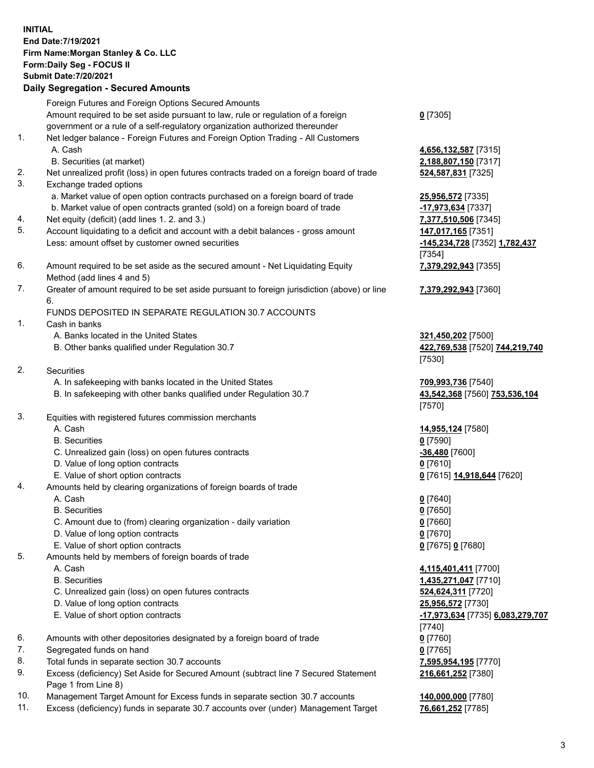## **INITIAL End Date:7/19/2021 Firm Name:Morgan Stanley & Co. LLC Form:Daily Seg - FOCUS II Submit Date:7/20/2021**

**Daily Segregation - Secured Amounts** Foreign Futures and Foreign Options Secured Amounts Amount required to be set aside pursuant to law, rule or regulation of a foreign government or a rule of a self-regulatory organization authorized thereunder 1. Net ledger balance - Foreign Futures and Foreign Option Trading - All Customers A. Cash **4,656,132,587** [7315] B. Securities (at market) **2,188,807,150** [7317] 2. Net unrealized profit (loss) in open futures contracts traded on a foreign board of trade **524,587,831** [7325] 3. Exchange traded options a. Market value of open option contracts purchased on a foreign board of trade **25,956,572** [7335] b. Market value of open contracts granted (sold) on a foreign board of trade **-17,973,634** [7337] 4. Net equity (deficit) (add lines 1. 2. and 3.) **7,377,510,506** [7345] 5. Account liquidating to a deficit and account with a debit balances - gross amount **147,017,165** [7351] Less: amount offset by customer owned securities **-145,234,728** [7352] **1,782,437** 6. Amount required to be set aside as the secured amount - Net Liquidating Equity Method (add lines 4 and 5) 7. Greater of amount required to be set aside pursuant to foreign jurisdiction (above) or line 6. FUNDS DEPOSITED IN SEPARATE REGULATION 30.7 ACCOUNTS 1. Cash in banks A. Banks located in the United States **321,450,202** [7500] B. Other banks qualified under Regulation 30.7 **422,769,538** [7520] **744,219,740** 2. Securities A. In safekeeping with banks located in the United States **709,993,736** [7540] B. In safekeeping with other banks qualified under Regulation 30.7 **43,542,368** [7560] **753,536,104** 3. Equities with registered futures commission merchants A. Cash **14,955,124** [7580] B. Securities **0** [7590] C. Unrealized gain (loss) on open futures contracts **-36,480** [7600] D. Value of long option contracts **0** [7610] E. Value of short option contracts **0** [7615] **14,918,644** [7620] 4. Amounts held by clearing organizations of foreign boards of trade A. Cash **0** [7640] B. Securities **0** [7650] C. Amount due to (from) clearing organization - daily variation **0** [7660] D. Value of long option contracts **0** [7670] E. Value of short option contracts **0** [7675] **0** [7680] 5. Amounts held by members of foreign boards of trade A. Cash **4,115,401,411** [7700] B. Securities **1,435,271,047** [7710]

- C. Unrealized gain (loss) on open futures contracts **524,624,311** [7720]
- D. Value of long option contracts **25,956,572** [7730]
- E. Value of short option contracts **-17,973,634** [7735] **6,083,279,707**
- 6. Amounts with other depositories designated by a foreign board of trade **0** [7760]
- 7. Segregated funds on hand **0** [7765]
- 8. Total funds in separate section 30.7 accounts **7,595,954,195** [7770]
- 9. Excess (deficiency) Set Aside for Secured Amount (subtract line 7 Secured Statement Page 1 from Line 8)
- 10. Management Target Amount for Excess funds in separate section 30.7 accounts **140,000,000** [7780]
- 11. Excess (deficiency) funds in separate 30.7 accounts over (under) Management Target **76,661,252** [7785]

**0** [7305]

[7354] **7,379,292,943** [7355]

**7,379,292,943** [7360]

[7530]

[7570]

[7740] **216,661,252** [7380]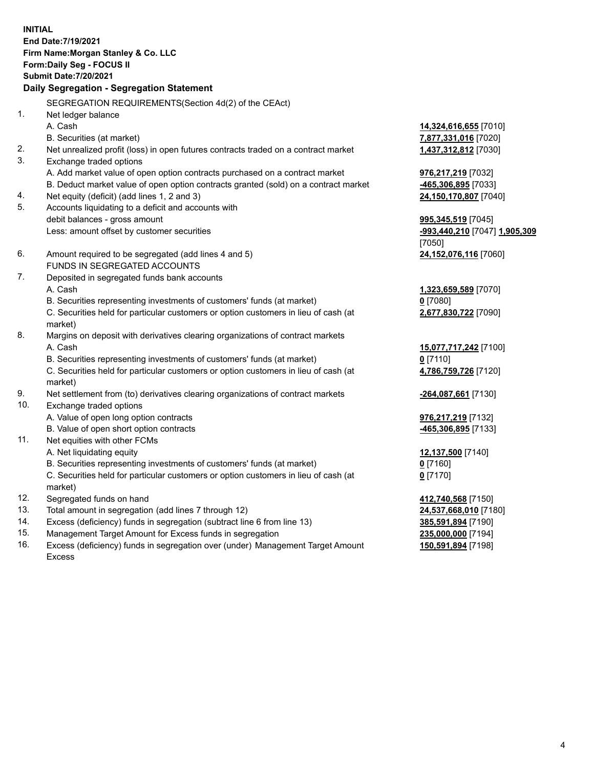**INITIAL End Date:7/19/2021 Firm Name:Morgan Stanley & Co. LLC Form:Daily Seg - FOCUS II Submit Date:7/20/2021 Daily Segregation - Segregation Statement** SEGREGATION REQUIREMENTS(Section 4d(2) of the CEAct) 1. Net ledger balance A. Cash **14,324,616,655** [7010] B. Securities (at market) **7,877,331,016** [7020] 2. Net unrealized profit (loss) in open futures contracts traded on a contract market **1,437,312,812** [7030] 3. Exchange traded options A. Add market value of open option contracts purchased on a contract market **976,217,219** [7032] B. Deduct market value of open option contracts granted (sold) on a contract market **-465,306,895** [7033] 4. Net equity (deficit) (add lines 1, 2 and 3) **24,150,170,807** [7040] 5. Accounts liquidating to a deficit and accounts with debit balances - gross amount **995,345,519** [7045] Less: amount offset by customer securities **-993,440,210** [7047] **1,905,309** [7050] 6. Amount required to be segregated (add lines 4 and 5) **24,152,076,116** [7060] FUNDS IN SEGREGATED ACCOUNTS 7. Deposited in segregated funds bank accounts A. Cash **1,323,659,589** [7070] B. Securities representing investments of customers' funds (at market) **0** [7080] C. Securities held for particular customers or option customers in lieu of cash (at market) **2,677,830,722** [7090] 8. Margins on deposit with derivatives clearing organizations of contract markets A. Cash **15,077,717,242** [7100] B. Securities representing investments of customers' funds (at market) **0** [7110] C. Securities held for particular customers or option customers in lieu of cash (at market) **4,786,759,726** [7120] 9. Net settlement from (to) derivatives clearing organizations of contract markets **-264,087,661** [7130] 10. Exchange traded options A. Value of open long option contracts **976,217,219** [7132] B. Value of open short option contracts **-465,306,895** [7133] 11. Net equities with other FCMs A. Net liquidating equity **12,137,500** [7140] B. Securities representing investments of customers' funds (at market) **0** [7160] C. Securities held for particular customers or option customers in lieu of cash (at market) **0** [7170] 12. Segregated funds on hand **412,740,568** [7150] 13. Total amount in segregation (add lines 7 through 12) **24,537,668,010** [7180] 14. Excess (deficiency) funds in segregation (subtract line 6 from line 13) **385,591,894** [7190]

- 15. Management Target Amount for Excess funds in segregation **235,000,000** [7194]
- 16. Excess (deficiency) funds in segregation over (under) Management Target Amount Excess

**150,591,894** [7198]